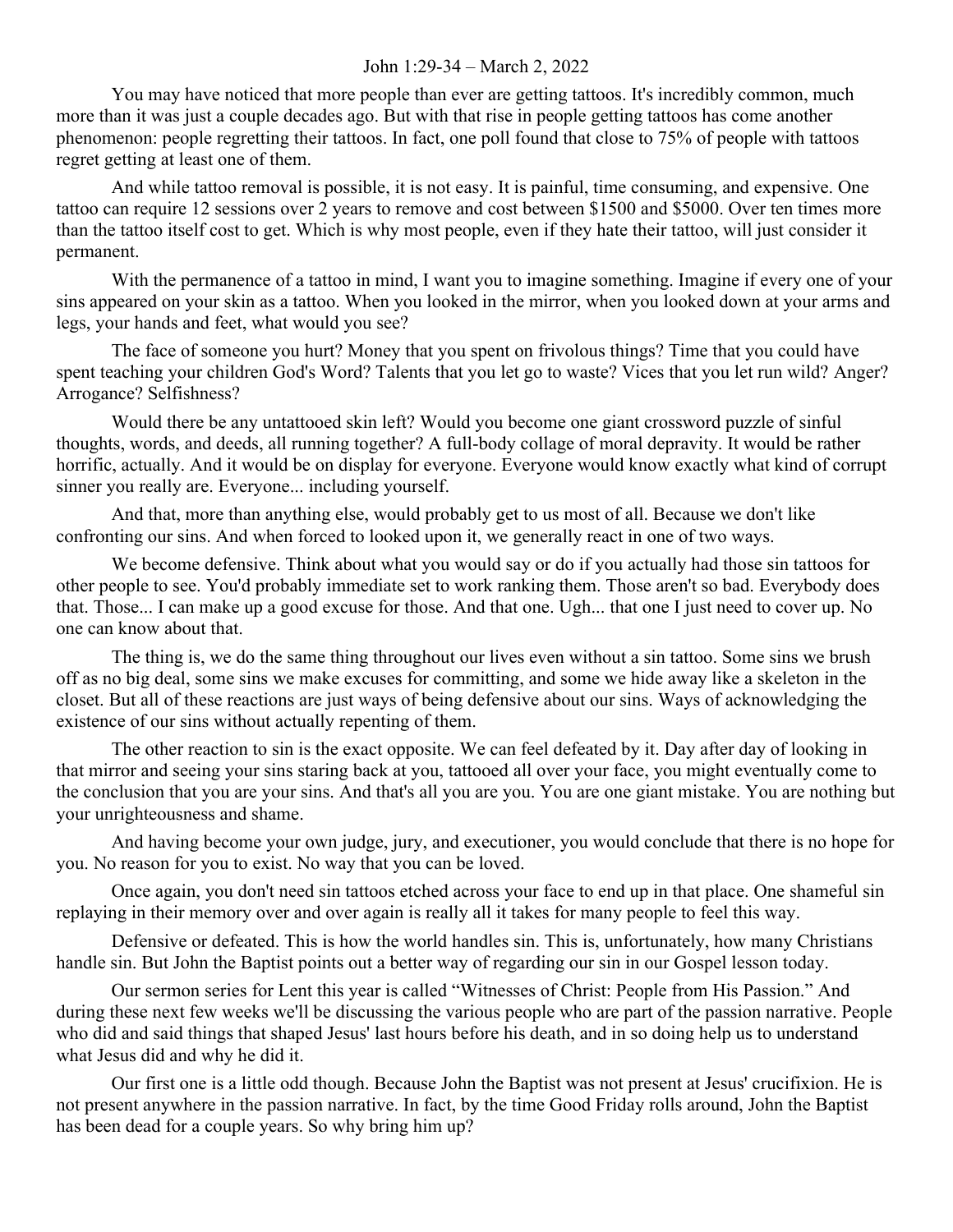## John 1:29-34 – March 2, 2022

You may have noticed that more people than ever are getting tattoos. It's incredibly common, much more than it was just a couple decades ago. But with that rise in people getting tattoos has come another phenomenon: people regretting their tattoos. In fact, one poll found that close to 75% of people with tattoos regret getting at least one of them.

And while tattoo removal is possible, it is not easy. It is painful, time consuming, and expensive. One tattoo can require 12 sessions over 2 years to remove and cost between \$1500 and \$5000. Over ten times more than the tattoo itself cost to get. Which is why most people, even if they hate their tattoo, will just consider it permanent.

With the permanence of a tattoo in mind, I want you to imagine something. Imagine if every one of your sins appeared on your skin as a tattoo. When you looked in the mirror, when you looked down at your arms and legs, your hands and feet, what would you see?

The face of someone you hurt? Money that you spent on frivolous things? Time that you could have spent teaching your children God's Word? Talents that you let go to waste? Vices that you let run wild? Anger? Arrogance? Selfishness?

Would there be any untattooed skin left? Would you become one giant crossword puzzle of sinful thoughts, words, and deeds, all running together? A full-body collage of moral depravity. It would be rather horrific, actually. And it would be on display for everyone. Everyone would know exactly what kind of corrupt sinner you really are. Everyone... including yourself.

And that, more than anything else, would probably get to us most of all. Because we don't like confronting our sins. And when forced to looked upon it, we generally react in one of two ways.

We become defensive. Think about what you would say or do if you actually had those sin tattoos for other people to see. You'd probably immediate set to work ranking them. Those aren't so bad. Everybody does that. Those... I can make up a good excuse for those. And that one. Ugh... that one I just need to cover up. No one can know about that.

The thing is, we do the same thing throughout our lives even without a sin tattoo. Some sins we brush off as no big deal, some sins we make excuses for committing, and some we hide away like a skeleton in the closet. But all of these reactions are just ways of being defensive about our sins. Ways of acknowledging the existence of our sins without actually repenting of them.

The other reaction to sin is the exact opposite. We can feel defeated by it. Day after day of looking in that mirror and seeing your sins staring back at you, tattooed all over your face, you might eventually come to the conclusion that you are your sins. And that's all you are you. You are one giant mistake. You are nothing but your unrighteousness and shame.

And having become your own judge, jury, and executioner, you would conclude that there is no hope for you. No reason for you to exist. No way that you can be loved.

Once again, you don't need sin tattoos etched across your face to end up in that place. One shameful sin replaying in their memory over and over again is really all it takes for many people to feel this way.

Defensive or defeated. This is how the world handles sin. This is, unfortunately, how many Christians handle sin. But John the Baptist points out a better way of regarding our sin in our Gospel lesson today.

Our sermon series for Lent this year is called "Witnesses of Christ: People from His Passion." And during these next few weeks we'll be discussing the various people who are part of the passion narrative. People who did and said things that shaped Jesus' last hours before his death, and in so doing help us to understand what Jesus did and why he did it.

Our first one is a little odd though. Because John the Baptist was not present at Jesus' crucifixion. He is not present anywhere in the passion narrative. In fact, by the time Good Friday rolls around, John the Baptist has been dead for a couple years. So why bring him up?